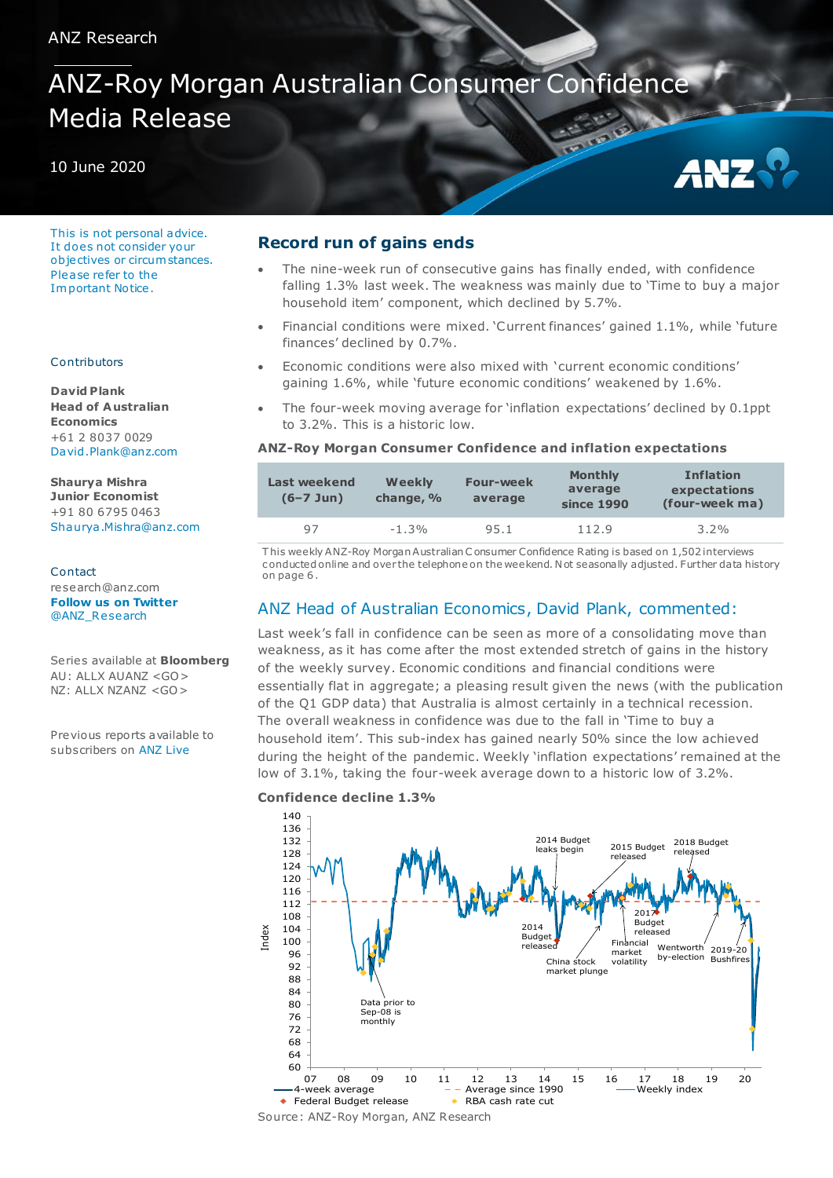# ANZ-Roy Morgan Australian Consumer Confidence Media Release

## 10 June 2020

This is not personal advice. It does not consider your objectives or circum stances. Please refer to the Im portant Notice .

### Contributors

**David Plank Head of A ustralian Economics** +61 2 8037 0029 [David.Plank@anz.com](mailto:David.Plank@anz.com)

**Shaurya Mishra Junior Economist** +91 80 6795 0463 [Shaurya .Mishra@anz.com](mailto:Shaurya.Mishra@anz.com) 

Contact research@anz.com **[Follow us on Twitter](http://twitter.com/ANZ_Research)** [@ANZ\\_Research](http://twitter.com/ANZ_Research)

Series available at **Bloomberg** AU: ALLX AUANZ <GO> NZ: ALLX NZANZ <GO>

Previous reports available to subscribers on [ANZ Live](https://anzlive.secure.force.com/cms__Main?name=Publications&tags=Publications%2FANZ-Roy+Morgan+Consumer+Confidence)

# **Record run of gains ends**

 The nine-week run of consecutive gains has finally ended, with confidence falling 1.3% last week. The weakness was mainly due to 'Time to buy a major household item' component, which declined by 5.7%.

ANZ

- Financial conditions were mixed. 'Current finances' gained 1.1%, while 'future finances' declined by 0.7%.
- Economic conditions were also mixed with 'current economic conditions' gaining 1.6%, while 'future economic conditions' weakened by 1.6%.
- The four-week moving average for 'inflation expectations' declined by 0.1ppt to 3.2%. This is a historic low.

## **ANZ-Roy Morgan Consumer Confidence and inflation expectations**

| Last weekend<br>$(6 - 7$ Jun) | Weekly<br>change, % | <b>Four-week</b><br>average | <b>Monthly</b><br>average<br>since 1990 | <b>Inflation</b><br>expectations<br>(four-week ma) |
|-------------------------------|---------------------|-----------------------------|-----------------------------------------|----------------------------------------------------|
| 97                            | $-1.3%$             | 95.1                        | 112.9                                   | $3.2\%$                                            |

T his weekly ANZ-Roy Morgan Australian C onsumer Confidence Rating is based on 1,502interviews c onducted online and over the telephone on the weekend. N ot seasonally adjusted. Further data history on page 6 .

## ANZ Head of Australian Economics, David Plank, commented:

Last week's fall in confidence can be seen as more of a consolidating move than weakness, as it has come after the most extended stretch of gains in the history of the weekly survey. Economic conditions and financial conditions were essentially flat in aggregate; a pleasing result given the news (with the publication of the Q1 GDP data) that Australia is almost certainly in a technical recession. The overall weakness in confidence was due to the fall in 'Time to buy a household item'. This sub-index has gained nearly 50% since the low achieved during the height of the pandemic. Weekly 'inflation expectations' remained at the low of 3.1%, taking the four-week average down to a historic low of 3.2%.

#### **Confidence decline 1.3%**

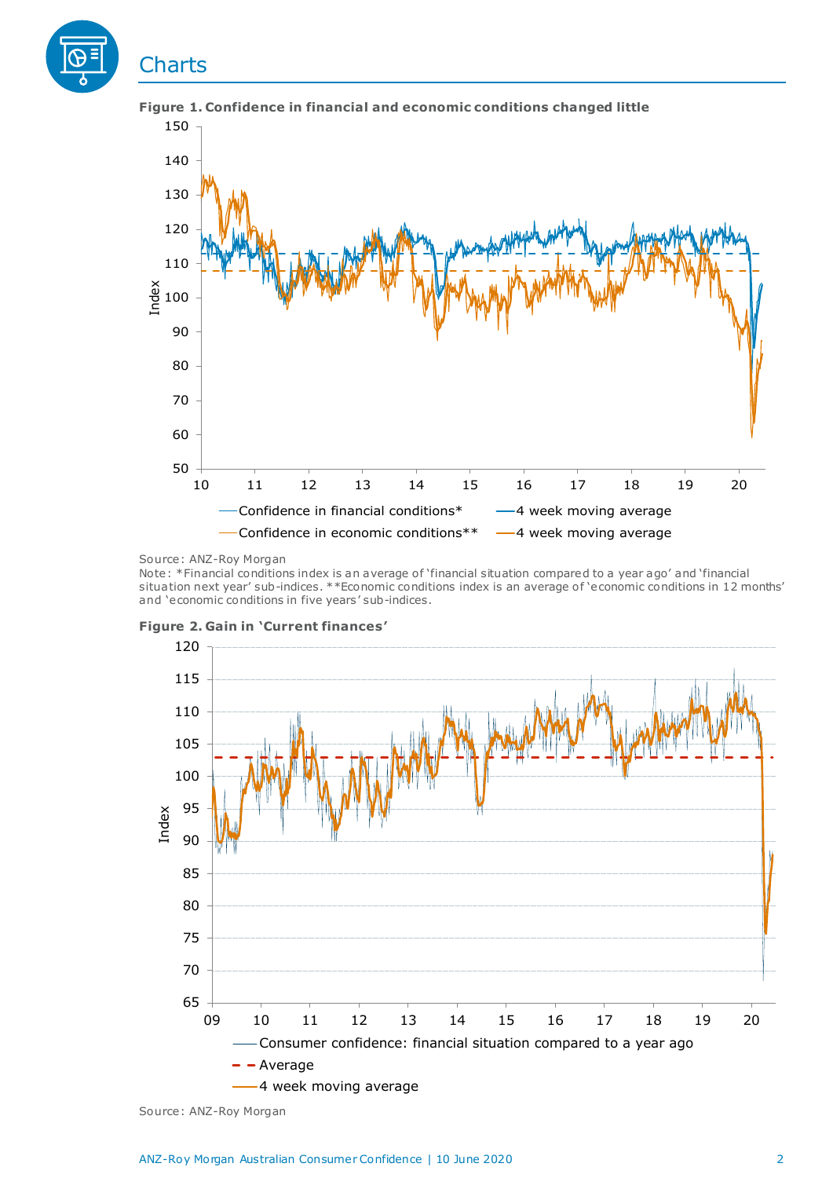

**Figure 1. Confidence in financial and economic conditions changed little** 

#### Source: ANZ-Roy Morgan

Note: \*Financial conditions index is an average of 'financial situation compared to a year ago' and 'financial situation next year' sub-indices. \*\*Economic conditions index is an average of 'economic conditions in 12 months' and 'economic conditions in five years' sub-indices.



**Figure 2. Gain in 'Current finances'**

Source: ANZ-Roy Morgan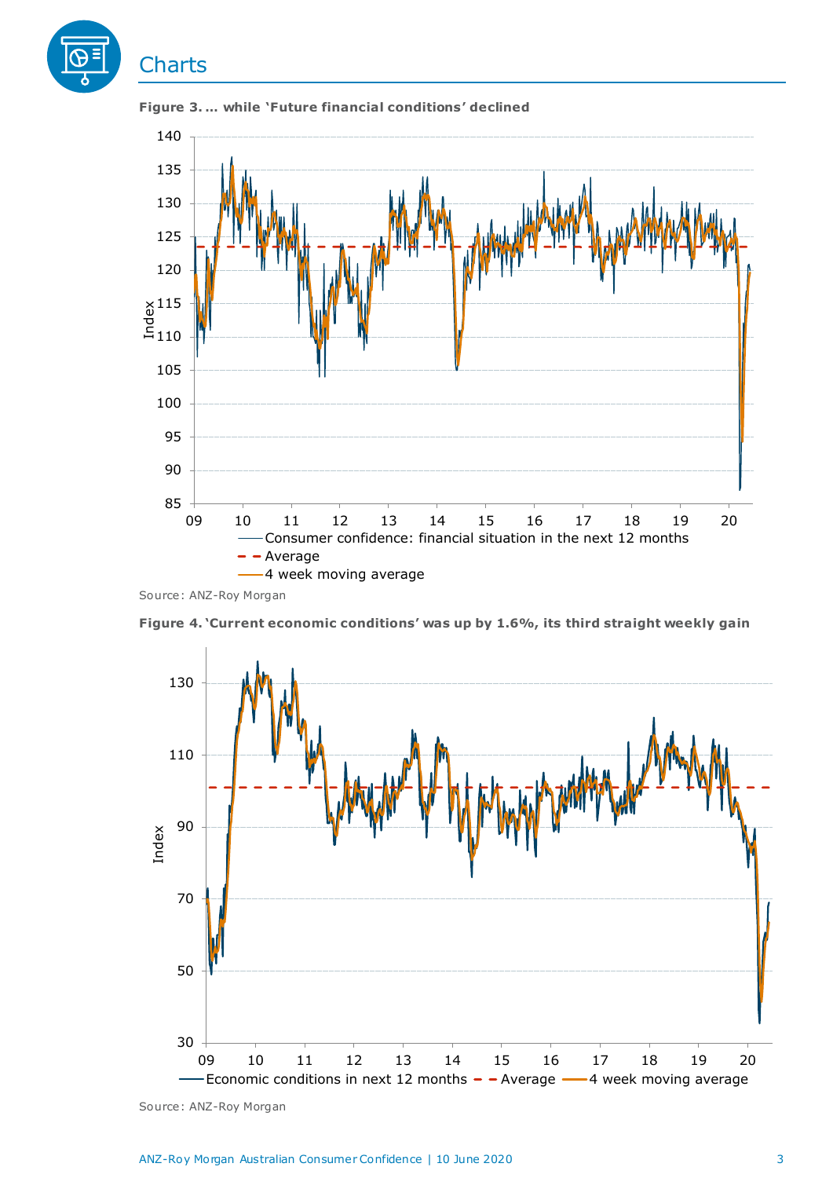



**Figure 3. … while 'Future financial conditions' declined**

Source: ANZ-Roy Morgan



**Figure 4. 'Current economic conditions' was up by 1.6%, its third straight weekly gain**

Source: ANZ-Roy Morgan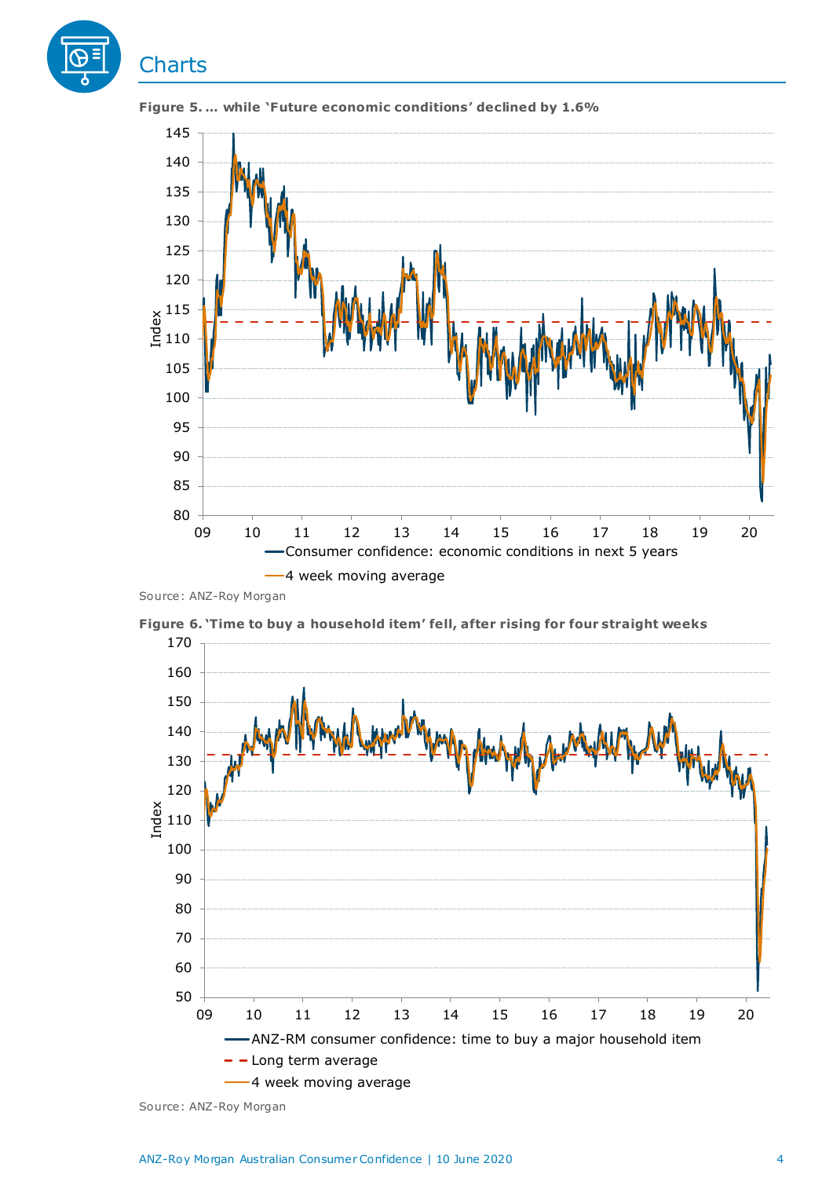



**Figure 5. … while 'Future economic conditions' declined by 1.6%** 

**Figure 6. 'Time to buy a household item' fell, after rising for four straight weeks**



Source: ANZ-Roy Morgan

Source: ANZ-Roy Morgan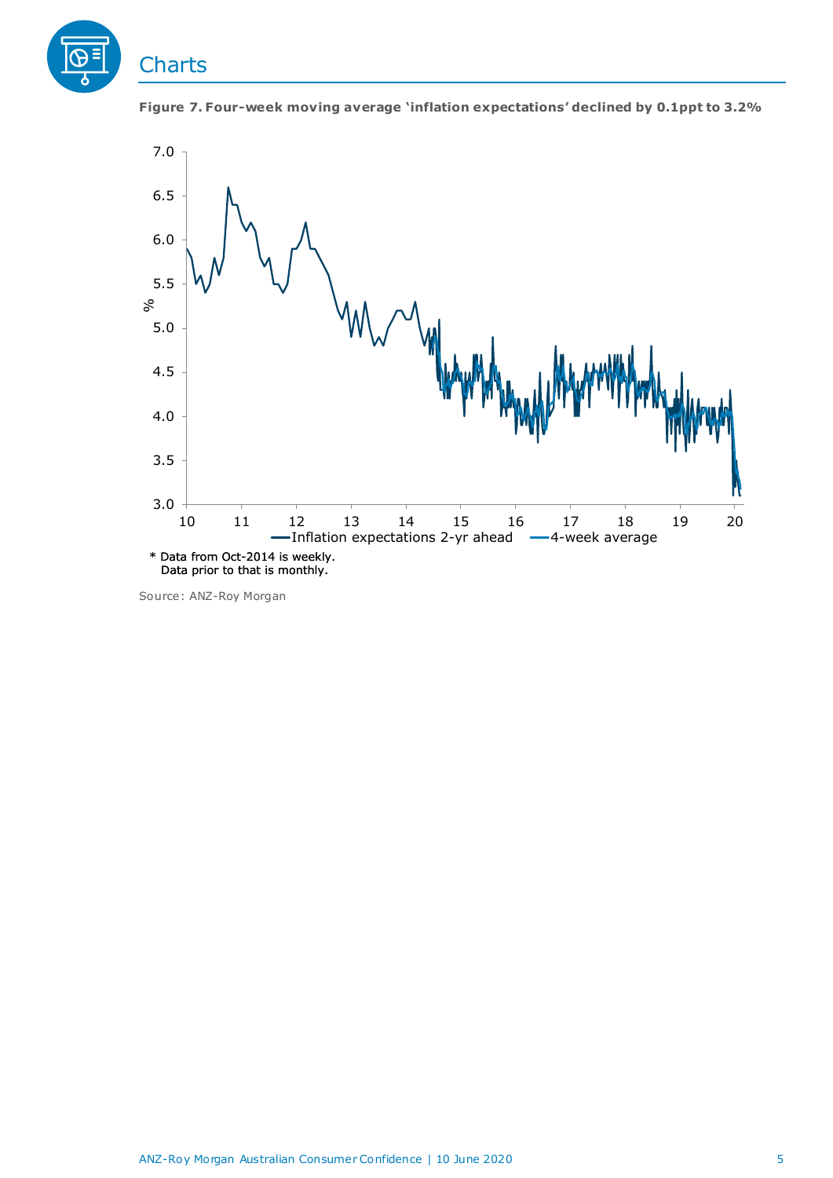





Source: ANZ-Roy Morgan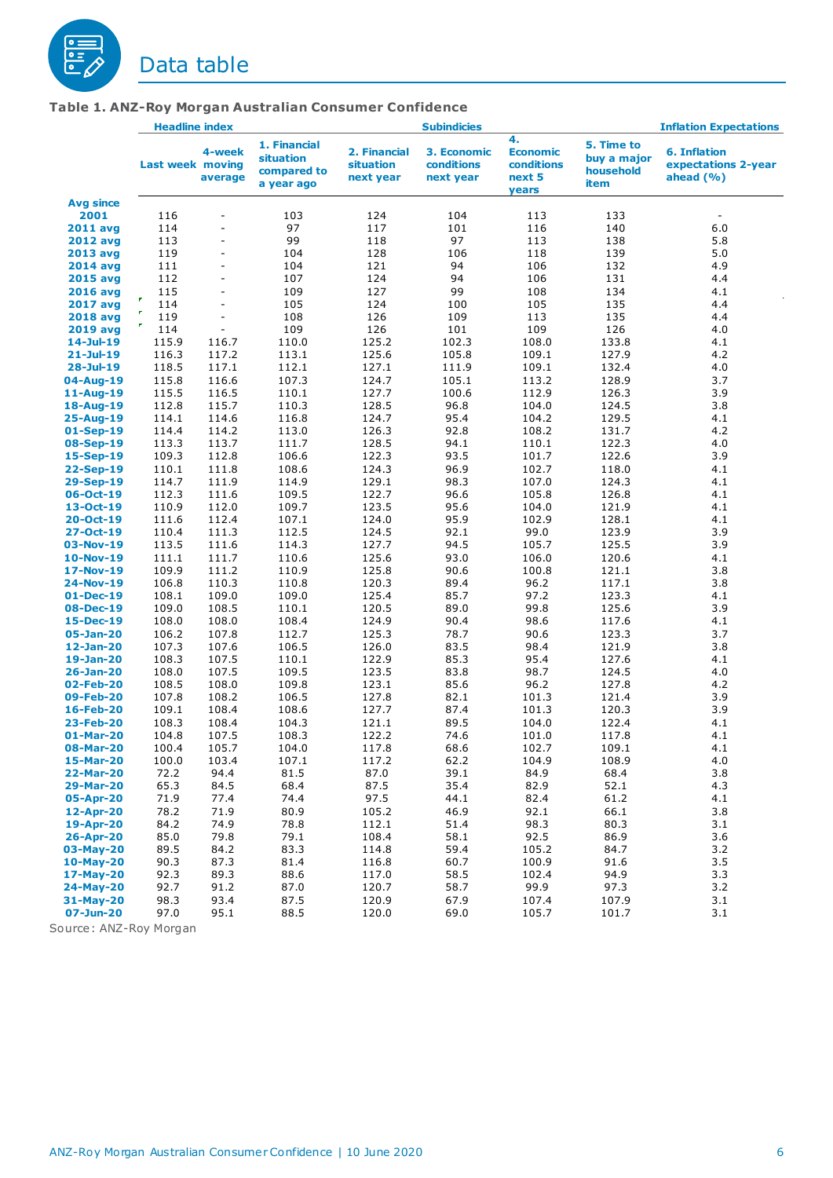

|                                 | <b>Headline index</b>   |                              |                                                        | <b>Subindicies</b>                     |                                        |                                                        | <b>Inflation Expectations</b>                  |                                                            |  |
|---------------------------------|-------------------------|------------------------------|--------------------------------------------------------|----------------------------------------|----------------------------------------|--------------------------------------------------------|------------------------------------------------|------------------------------------------------------------|--|
|                                 | <b>Last week moving</b> | 4-week<br>average            | 1. Financial<br>situation<br>compared to<br>a year ago | 2. Financial<br>situation<br>next year | 3. Economic<br>conditions<br>next year | 4.<br><b>Economic</b><br>conditions<br>next 5<br>years | 5. Time to<br>buy a major<br>household<br>item | <b>6. Inflation</b><br>expectations 2-year<br>ahead $(% )$ |  |
| Avg since                       |                         |                              |                                                        |                                        |                                        |                                                        |                                                |                                                            |  |
| 2001                            | 116                     | ÷                            | 103                                                    | 124                                    | 104                                    | 113                                                    | 133                                            |                                                            |  |
| <b>2011 avg</b>                 | 114                     | ÷,                           | 97                                                     | 117                                    | 101                                    | 116                                                    | 140                                            | 6.0                                                        |  |
| <b>2012 avg</b>                 | 113                     | $\qquad \qquad \blacksquare$ | 99                                                     | 118                                    | 97                                     | 113                                                    | 138                                            | 5.8                                                        |  |
| 2013 avg                        | 119                     |                              | 104                                                    | 128                                    | 106                                    | 118                                                    | 139                                            | 5.0                                                        |  |
| <b>2014 avg</b>                 | 111                     | ÷,                           | 104                                                    | 121                                    | 94                                     | 106                                                    | 132                                            | 4.9                                                        |  |
| <b>2015 avg</b>                 | 112                     |                              | 107                                                    | 124                                    | 94                                     | 106                                                    | 131                                            | 4.4                                                        |  |
| <b>2016 avg</b>                 | 115<br>P                | $\qquad \qquad \blacksquare$ | 109                                                    | 127                                    | 99                                     | 108                                                    | 134                                            | 4.1                                                        |  |
| <b>2017 avg</b>                 | 114<br>P.               |                              | 105                                                    | 124                                    | 100                                    | 105                                                    | 135                                            | 4.4                                                        |  |
| <b>2018 avg</b>                 | 119<br>$\pmb{r}$<br>114 | ÷,<br>$\sim$                 | 108<br>109                                             | 126<br>126                             | 109<br>101                             | 113<br>109                                             | 135<br>126                                     | 4.4                                                        |  |
| <b>2019 avg</b><br>$14$ -Jul-19 | 115.9                   |                              | 110.0                                                  | 125.2                                  | 102.3                                  | 108.0                                                  | 133.8                                          | 4.0<br>4.1                                                 |  |
| $21 -$ Jul-19                   | 116.3                   | 116.7<br>117.2               | 113.1                                                  | 125.6                                  | 105.8                                  | 109.1                                                  | 127.9                                          | 4.2                                                        |  |
| $28 -$ Jul-19                   | 118.5                   | 117.1                        | 112.1                                                  | 127.1                                  | 111.9                                  | 109.1                                                  | 132.4                                          | 4.0                                                        |  |
| 04-Aug-19                       | 115.8                   | 116.6                        | 107.3                                                  | 124.7                                  | 105.1                                  | 113.2                                                  | 128.9                                          | 3.7                                                        |  |
| $11 - Aug-19$                   | 115.5                   | 116.5                        | 110.1                                                  | 127.7                                  | 100.6                                  | 112.9                                                  | 126.3                                          | 3.9                                                        |  |
| 18-Aug-19                       | 112.8                   | 115.7                        | 110.3                                                  | 128.5                                  | 96.8                                   | 104.0                                                  | 124.5                                          | 3.8                                                        |  |
| 25-Aug-19                       | 114.1                   | 114.6                        | 116.8                                                  | 124.7                                  | 95.4                                   | 104.2                                                  | 129.5                                          | 4.1                                                        |  |
| 01-Sep-19                       | 114.4                   | 114.2                        | 113.0                                                  | 126.3                                  | 92.8                                   | 108.2                                                  | 131.7                                          | 4.2                                                        |  |
| 08-Sep-19                       | 113.3                   | 113.7                        | 111.7                                                  | 128.5                                  | 94.1                                   | 110.1                                                  | 122.3                                          | 4.0                                                        |  |
| 15-Sep-19                       | 109.3                   | 112.8                        | 106.6                                                  | 122.3                                  | 93.5                                   | 101.7                                                  | 122.6                                          | 3.9                                                        |  |
| 22-Sep-19                       | 110.1                   | 111.8                        | 108.6                                                  | 124.3                                  | 96.9                                   | 102.7                                                  | 118.0                                          | 4.1                                                        |  |
| 29-Sep-19                       | 114.7                   | 111.9                        | 114.9                                                  | 129.1                                  | 98.3                                   | 107.0                                                  | 124.3                                          | 4.1                                                        |  |
| 06-Oct-19                       | 112.3                   | 111.6                        | 109.5                                                  | 122.7                                  | 96.6                                   | 105.8                                                  | 126.8                                          | 4.1                                                        |  |
| $13 - Oct-19$                   | 110.9                   | 112.0                        | 109.7                                                  | 123.5                                  | 95.6                                   | 104.0                                                  | 121.9                                          | 4.1                                                        |  |
| $20 - Oct - 19$                 | 111.6                   | 112.4                        | 107.1                                                  | 124.0                                  | 95.9                                   | 102.9                                                  | 128.1                                          | 4.1                                                        |  |
| 27-Oct-19                       | 110.4                   | 111.3                        | 112.5                                                  | 124.5                                  | 92.1                                   | 99.0                                                   | 123.9                                          | 3.9                                                        |  |
| 03-Nov-19                       | 113.5                   | 111.6                        | 114.3                                                  | 127.7                                  | 94.5                                   | 105.7                                                  | 125.5                                          | 3.9                                                        |  |
| $10-Nov-19$                     | 111.1                   | 111.7                        | 110.6                                                  | 125.6                                  | 93.0                                   | 106.0                                                  | 120.6                                          | 4.1                                                        |  |
| 17-Nov-19                       | 109.9                   | 111.2                        | 110.9                                                  | 125.8                                  | 90.6                                   | 100.8                                                  | 121.1                                          | 3.8                                                        |  |
| 24-Nov-19                       | 106.8                   | 110.3                        | 110.8                                                  | 120.3                                  | 89.4                                   | 96.2                                                   | 117.1                                          | 3.8                                                        |  |
| $01$ -Dec-19                    | 108.1                   | 109.0                        | 109.0                                                  | 125.4                                  | 85.7                                   | 97.2                                                   | 123.3                                          | 4.1                                                        |  |
| 08-Dec-19                       | 109.0<br>108.0          | 108.5<br>108.0               | 110.1<br>108.4                                         | 120.5<br>124.9                         | 89.0<br>90.4                           | 99.8<br>98.6                                           | 125.6<br>117.6                                 | 3.9<br>4.1                                                 |  |
| 15-Dec-19<br>05-Jan-20          | 106.2                   | 107.8                        | 112.7                                                  | 125.3                                  | 78.7                                   | 90.6                                                   | 123.3                                          | 3.7                                                        |  |
| 12-Jan-20                       | 107.3                   | 107.6                        | 106.5                                                  | 126.0                                  | 83.5                                   | 98.4                                                   | 121.9                                          | 3.8                                                        |  |
| 19-Jan-20                       | 108.3                   | 107.5                        | 110.1                                                  | 122.9                                  | 85.3                                   | 95.4                                                   | 127.6                                          | 4.1                                                        |  |
| 26-Jan-20                       | 108.0                   | 107.5                        | 109.5                                                  | 123.5                                  | 83.8                                   | 98.7                                                   | 124.5                                          | 4.0                                                        |  |
| 02-Feb-20                       | 108.5                   | 108.0                        | 109.8                                                  | 123.1                                  | 85.6                                   | 96.2                                                   | 127.8                                          | 4.2                                                        |  |
| 09-Feb-20                       | 107.8                   | 108.2                        | 106.5                                                  | 127.8                                  | 82.1                                   | 101.3                                                  | 121.4                                          | 3.9                                                        |  |
| 16-Feb-20                       | 109.1                   | 108.4                        | 108.6                                                  | 127.7                                  | 87.4                                   | 101.3                                                  | 120.3                                          | 3.9                                                        |  |
| 23-Feb-20                       | 108.3                   | 108.4                        | 104.3                                                  | 121.1                                  | 89.5                                   | 104.0                                                  | 122.4                                          | 4.1                                                        |  |
| 01-Mar-20                       | 104.8                   | 107.5                        | 108.3                                                  | 122.2                                  | 74.6                                   | 101.0                                                  | 117.8                                          | 4.1                                                        |  |
| 08-Mar-20                       | 100.4                   | 105.7                        | 104.0                                                  | 117.8                                  | 68.6                                   | 102.7                                                  | 109.1                                          | 4.1                                                        |  |
| 15-Mar-20                       | 100.0                   | 103.4                        | 107.1                                                  | 117.2                                  | 62.2                                   | 104.9                                                  | 108.9                                          | 4.0                                                        |  |
| 22-Mar-20                       | 72.2                    | 94.4                         | 81.5                                                   | 87.0                                   | 39.1                                   | 84.9                                                   | 68.4                                           | 3.8                                                        |  |
| 29-Mar-20                       | 65.3                    | 84.5                         | 68.4                                                   | 87.5                                   | 35.4                                   | 82.9                                                   | 52.1                                           | 4.3                                                        |  |
| 05-Apr-20                       | 71.9                    | 77.4                         | 74.4                                                   | 97.5                                   | 44.1                                   | 82.4                                                   | 61.2                                           | 4.1                                                        |  |
| 12-Apr-20                       | 78.2                    | 71.9                         | 80.9                                                   | 105.2                                  | 46.9                                   | 92.1                                                   | 66.1                                           | 3.8                                                        |  |
| 19-Apr-20                       | 84.2                    | 74.9                         | 78.8                                                   | 112.1                                  | 51.4                                   | 98.3                                                   | 80.3                                           | 3.1                                                        |  |
| 26-Apr-20                       | 85.0                    | 79.8                         | 79.1                                                   | 108.4                                  | 58.1                                   | 92.5                                                   | 86.9                                           | 3.6                                                        |  |
| 03-May-20                       | 89.5                    | 84.2                         | 83.3                                                   | 114.8                                  | 59.4                                   | 105.2                                                  | 84.7                                           | 3.2                                                        |  |
| $10$ -May-20                    | 90.3                    | 87.3                         | 81.4                                                   | 116.8                                  | 60.7                                   | 100.9                                                  | 91.6                                           | 3.5                                                        |  |
| 17-May-20                       | 92.3                    | 89.3                         | 88.6                                                   | 117.0                                  | 58.5                                   | 102.4                                                  | 94.9                                           | 3.3                                                        |  |
| 24-May-20                       | 92.7                    | 91.2                         | 87.0                                                   | 120.7                                  | 58.7                                   | 99.9                                                   | 97.3                                           | 3.2                                                        |  |
| 31-May-20                       | 98.3<br>97.0            | 93.4                         | 87.5                                                   | 120.9                                  | 67.9                                   | 107.4                                                  | 107.9                                          | 3.1<br>3.1                                                 |  |
| 07-Jun-20                       |                         | 95.1                         | 88.5                                                   | 120.0                                  | 69.0                                   | 105.7                                                  | 101.7                                          |                                                            |  |

Source: ANZ-Roy Morgan